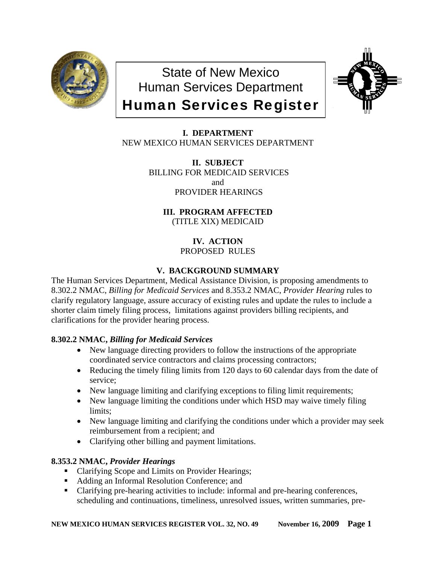

State of New Mexico Human Services Department Human Services Register



# **I. DEPARTMENT** NEW MEXICO HUMAN SERVICES DEPARTMENT

**II. SUBJECT** BILLING FOR MEDICAID SERVICES and PROVIDER HEARINGS

**III. PROGRAM AFFECTED** (TITLE XIX) MEDICAID

> **IV. ACTION** PROPOSED RULES

# **V. BACKGROUND SUMMARY**

The Human Services Department, Medical Assistance Division, is proposing amendments to 8.302.2 NMAC, *Billing for Medicaid Services* and 8.353.2 NMAC, *Provider Hearing* rules to clarify regulatory language, assure accuracy of existing rules and update the rules to include a shorter claim timely filing process, limitations against providers billing recipients, and clarifications for the provider hearing process.

# **8.302.2 NMAC,** *Billing for Medicaid Services*

- New language directing providers to follow the instructions of the appropriate coordinated service contractors and claims processing contractors;
- Reducing the timely filing limits from 120 days to 60 calendar days from the date of service;
- New language limiting and clarifying exceptions to filing limit requirements;
- New language limiting the conditions under which HSD may waive timely filing limits;
- New language limiting and clarifying the conditions under which a provider may seek reimbursement from a recipient; and
- Clarifying other billing and payment limitations.

## **8.353.2 NMAC,** *Provider Hearings*

- Clarifying Scope and Limits on Provider Hearings;
- Adding an Informal Resolution Conference; and
- Clarifying pre-hearing activities to include: informal and pre-hearing conferences, scheduling and continuations, timeliness, unresolved issues, written summaries, pre-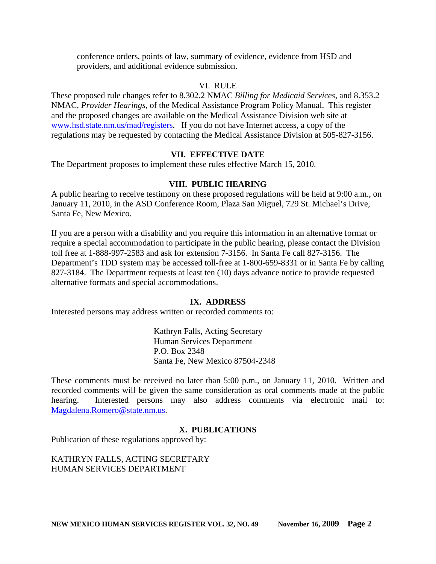conference orders, points of law, summary of evidence, evidence from HSD and providers, and additional evidence submission.

### VI. RULE

These proposed rule changes refer to 8.302.2 NMAC *Billing for Medicaid Services,* and 8.353.2 NMAC, *Provider Hearings,* of the Medical Assistance Program Policy Manual. This register and the proposed changes are available on the Medical Assistance Division web site at [www.hsd.state.nm.us/mad/registers.](http://www.hsd.state.nm.us/mad/registers) If you do not have Internet access, a copy of the regulations may be requested by contacting the Medical Assistance Division at 505-827-3156.

### **VII. EFFECTIVE DATE**

The Department proposes to implement these rules effective March 15, 2010.

## **VIII. PUBLIC HEARING**

A public hearing to receive testimony on these proposed regulations will be held at 9:00 a.m., on January 11, 2010, in the ASD Conference Room, Plaza San Miguel, 729 St. Michael's Drive, Santa Fe, New Mexico.

If you are a person with a disability and you require this information in an alternative format or require a special accommodation to participate in the public hearing, please contact the Division toll free at 1-888-997-2583 and ask for extension 7-3156. In Santa Fe call 827-3156. The Department's TDD system may be accessed toll-free at 1-800-659-8331 or in Santa Fe by calling 827-3184. The Department requests at least ten (10) days advance notice to provide requested alternative formats and special accommodations.

## **IX. ADDRESS**

Interested persons may address written or recorded comments to:

Kathryn Falls, Acting Secretary Human Services Department P.O. Box 2348 Santa Fe, New Mexico 87504-2348

These comments must be received no later than 5:00 p.m., on January 11, 2010. Written and recorded comments will be given the same consideration as oral comments made at the public hearing. Interested persons may also address comments via electronic mail to: [Magdalena.Romero@state.nm.us.](mailto:Magdalena.Romero@state.nm.us)

## **X. PUBLICATIONS**

Publication of these regulations approved by:

KATHRYN FALLS, ACTING SECRETARY HUMAN SERVICES DEPARTMENT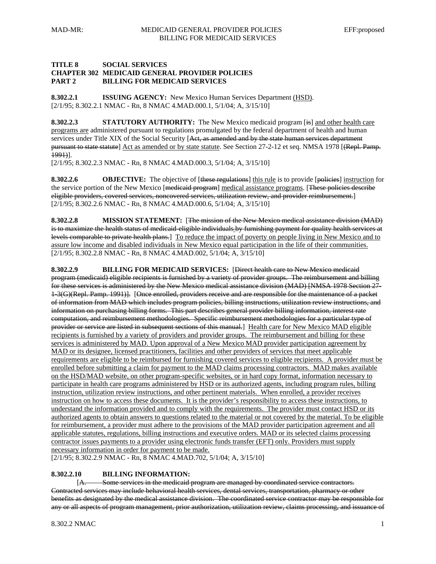#### **TITLE 8 SOCIAL SERVICES CHAPTER 302 MEDICAID GENERAL PROVIDER POLICIES PART 2 BILLING FOR MEDICAID SERVICES**

**8.302.2.1 ISSUING AGENCY:** New Mexico Human Services Department (HSD). [2/1/95; 8.302.2.1 NMAC - Rn, 8 NMAC 4.MAD.000.1, 5/1/04; A, 3/15/10]

**8.302.2.3 STATUTORY AUTHORITY:** The New Mexico medicaid program [is] and other health care programs are administered pursuant to regulations promulgated by the federal department of health and human services under Title XIX of the Social Security [Act, as amended and by the state human services department pursuant to state statute] Act as amended or by state statute. See Section 27-2-12 et seq. NMSA 1978 [(Repl. Pamp. 1991)].

[2/1/95; 8.302.2.3 NMAC - Rn, 8 NMAC 4.MAD.000.3, 5/1/04; A, 3/15/10]

**8.302.2.6 OBJECTIVE:** The objective of [these regulations] this rule is to provide [policies] instruction for the service portion of the New Mexico [medicaid program] medical assistance programs. [These policies describe eligible providers, covered services, noncovered services, utilization review, and provider reimbursement.] [2/1/95; 8.302.2.6 NMAC - Rn, 8 NMAC 4.MAD.000.6, 5/1/04; A, 3/15/10]

**8.302.2.8 MISSION STATEMENT:** [The mission of the New Mexico medical assistance division (MAD) is to maximize the health status of medicaid-eligible individuals by furnishing payment for quality health services at levels comparable to private health plans.] To reduce the impact of poverty on people living in New Mexico and to assure low income and disabled individuals in New Mexico equal participation in the life of their communities. [2/1/95; 8.302.2.8 NMAC - Rn, 8 NMAC 4.MAD.002, 5/1/04; A, 3/15/10]

**8.302.2.9 BILLING FOR MEDICAID SERVICES:** [Direct health care to New Mexico medicaid program (medicaid) eligible recipients is furnished by a variety of provider groups. The reimbursement and billing for these services is administered by the New Mexico medical assistance division (MAD) [NMSA 1978 Section 27- 1-3(G)(Repl. Pamp. 1991)]. [Once enrolled, providers receive and are responsible for the maintenance of a packet of information from MAD which includes program policies, billing instructions, utilization review instructions, and information on purchasing billing forms. This part describes general provider billing information, interest rate computation, and reimbursement methodologies. Specific reimbursement methodologies for a particular type of provider or service are listed in subsequent sections of this manual.] Health care for New Mexico MAD eligible recipients is furnished by a variety of providers and provider groups. The reimbursement and billing for these services is administered by MAD. Upon approval of a New Mexico MAD provider participation agreement by MAD or its designee, licensed practitioners, facilities and other providers of services that meet applicable requirements are eligible to be reimbursed for furnishing covered services to eligible recipients. A provider must be enrolled before submitting a claim for payment to the MAD claims processing contractors. MAD makes available on the HSD/MAD website, on other program-specific websites, or in hard copy format, information necessary to participate in health care programs administered by HSD or its authorized agents, including program rules, billing instruction, utilization review instructions, and other pertinent materials. When enrolled, a provider receives instruction on how to access these documents. It is the provider's responsibility to access these instructions, to understand the information provided and to comply with the requirements. The provider must contact HSD or its authorized agents to obtain answers to questions related to the material or not covered by the material. To be eligible for reimbursement, a provider must adhere to the provisions of the MAD provider participation agreement and all applicable statutes, regulations, billing instructions and executive orders. MAD or its selected claims processing contractor issues payments to a provider using electronic funds transfer (EFT) only. Providers must supply necessary information in order for payment to be made.

[2/1/95; 8.302.2.9 NMAC - Rn, 8 NMAC 4.MAD.702, 5/1/04; A, 3/15/10]

#### **8.302.2.10 BILLING INFORMATION:**

 [A. Some services in the medicaid program are managed by coordinated service contractors. Contracted services may include behavioral health services, dental services, transportation, pharmacy or other benefits as designated by the medical assistance division. The coordinated service contractor may be responsible for any or all aspects of program management, prior authorization, utilization review, claims processing, and issuance of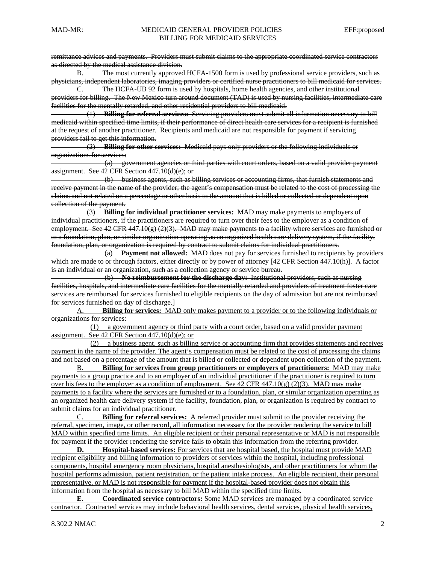remittance advices and payments. Providers must submit claims to the appropriate coordinated service contractors as directed by the medical assistance division.

B. The most currently approved HCFA-1500 form is used by professional service providers, such as physicians, independent laboratories, imaging providers or certified nurse practitioners to bill medicaid for services. C. The HCFA-UB 92 form is used by hospitals, home health agencies, and other institutional

providers for billing. The New Mexico turn around document (TAD) is used by nursing facilities, intermediate care facilities for the mentally retarded, and other residential providers to bill medicaid.

 (1) **Billing for referral services:** Servicing providers must submit all information necessary to bill medicaid within specified time limits, if their performance of direct health care services for a recipient is furnished at the request of another practitioner. Recipients and medicaid are not responsible for payment if servicing providers fail to get this information.

 (2) **Billing for other services:** Medicaid pays only providers or the following individuals or organizations for services:

 (a) government agencies or third parties with court orders, based on a valid provider payment assignment. See 42 CFR Section 447.10(d)(e); or

 (b) business agents, such as billing services or accounting firms, that furnish statements and receive payment in the name of the provider; the agent's compensation must be related to the cost of processing the claims and not related on a percentage or other basis to the amount that is billed or collected or dependent upon collection of the payment.

 (3) **Billing for individual practitioner services:** MAD may make payments to employers of individual practitioners, if the practitioners are required to turn over their fees to the employer as a condition of employment. See 42 CFR 447.10(g) (2)(3). MAD may make payments to a facility where services are furnished or to a foundation, plan, or similar organization operating as an organized health care delivery system, if the facility, foundation, plan, or organization is required by contract to submit claims for individual practitioners.

 (a) **Payment not allowed:** MAD does not pay for services furnished to recipients by providers which are made to or through factors, either directly or by power of attorney [42 CFR Section 447.10(h)]. A factor is an individual or an organization, such as a collection agency or service bureau.

 (b) **No reimbursement for the discharge day:** Institutional providers, such as nursing facilities, hospitals, and intermediate care facilities for the mentally retarded and providers of treatment foster care services are reimbursed for services furnished to eligible recipients on the day of admission but are not reimbursed for services furnished on day of discharge.]

 A. **Billing for services:** MAD only makes payment to a provider or to the following individuals or organizations for services:

 (1) a government agency or third party with a court order, based on a valid provider payment assignment. See 42 CFR Section 447.10(d)(e); or

 (2) a business agent, such as billing service or accounting firm that provides statements and receives payment in the name of the provider. The agent's compensation must be related to the cost of processing the claims and not based on a percentage of the amount that is billed or collected or dependent upon collection of the payment.

 B. **Billing for services from group practitioners or employers of practitioners:** MAD may make payments to a group practice and to an employer of an individual practitioner if the practitioner is required to turn over his fees to the employer as a condition of employment. See  $42$  CFR  $447.10(g)(2)(3)$ . MAD may make payments to a facility where the services are furnished or to a foundation, plan, or similar organization operating as an organized health care delivery system if the facility, foundation, plan, or organization is required by contract to submit claims for an individual practitioner.

 C. **Billing for referral services:** A referred provider must submit to the provider receiving the referral, specimen, image, or other record, all information necessary for the provider rendering the service to bill MAD within specified time limits. An eligible recipient or their personal representative or MAD is not responsible for payment if the provider rendering the service fails to obtain this information from the referring provider.

**D.** Hospital-based services: For services that are hospital based, the hospital must provide MAD recipient eligibility and billing information to providers of services within the hospital, including professional components, hospital emergency room physicians, hospital anesthesiologists, and other practitioners for whom the hospital performs admission, patient registration, or the patient intake process. An eligible recipient, their personal representative, or MAD is not responsible for payment if the hospital-based provider does not obtain this information from the hospital as necessary to bill MAD within the specified time limits.

**E. Coordinated service contractors:** Some MAD services are managed by a coordinated service contractor. Contracted services may include behavioral health services, dental services, physical health services,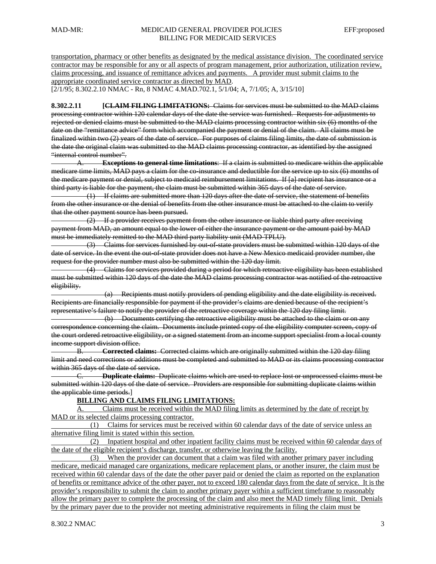transportation, pharmacy or other benefits as designated by the medical assistance division. The coordinated service contractor may be responsible for any or all aspects of program management, prior authorization, utilization review, claims processing, and issuance of remittance advices and payments. A provider must submit claims to the appropriate coordinated service contractor as directed by MAD. [2/1/95; 8.302.2.10 NMAC - Rn, 8 NMAC 4.MAD.702.1, 5/1/04; A, 7/1/05; A, 3/15/10]

**8.302.2.11 [CLAIM FILING LIMITATIONS:** Claims for services must be submitted to the MAD claims processing contractor within 120 calendar days of the date the service was furnished. Requests for adjustments to rejected or denied claims must be submitted to the MAD claims processing contractor within six (6) months of the date on the "remittance advice" form which accompanied the payment or denial of the claim. All claims must be finalized within two (2) years of the date of service. For purposes of claims filing limits, the date of submission is the date the original claim was submitted to the MAD claims processing contractor, as identified by the assigned "internal control number".

A. **Exceptions to general time limitations**: If a claim is submitted to medicare within the applicable medicare time limits, MAD pays a claim for the co-insurance and deductible for the service up to six (6) months of the medicare payment or denial, subject to medicaid reimbursement limitations. If [a] recipient has insurance or a third party is liable for the payment, the claim must be submitted within 365 days of the date of service.

 (1) If claims are submitted more than 120 days after the date of service, the statement of benefits from the other insurance or the denial of benefits from the other insurance must be attached to the claim to verify that the other payment source has been pursued.

 (2) If a provider receives payment from the other insurance or liable third party after receiving payment from MAD, an amount equal to the lower of either the insurance payment or the amount paid by MAD must be immediately remitted to the MAD third party liability unit (MAD-TPLU).

 (3) Claims for services furnished by out-of-state providers must be submitted within 120 days of the date of service. In the event the out-of-state provider does not have a New Mexico medicaid provider number, the request for the provider number must also be submitted within the 120 day limit.

 (4) Claims for services provided during a period for which retroactive eligibility has been established must be submitted within 120 days of the date the MAD claims processing contractor was notified of the retroactive eligibility.

 (a) Recipients must notify providers of pending eligibility and the date eligibility is received. Recipients are financially responsible for payment if the provider's claims are denied because of the recipient's representative's failure to notify the provider of the retroactive coverage within the 120 day filing limit.

 (b) Documents certifying the retroactive eligibility must be attached to the claim or on any correspondence concerning the claim. Documents include printed copy of the eligibility computer screen, copy of the court ordered retroactive eligibility, or a signed statement from an income support specialist from a local county income support division office.

B. **Corrected claims:** Corrected claims which are originally submitted within the 120 day filing limit and need corrections or additions must be completed and submitted to MAD or its claims processing contractor within 365 days of the date of service.

C. **Duplicate claims:** Duplicate claims which are used to replace lost or unprocessed claims must be submitted within 120 days of the date of service. Providers are responsible for submitting duplicate claims within the applicable time periods.]

#### **BILLING AND CLAIMS FILING LIMITATIONS:**

 A. Claims must be received within the MAD filing limits as determined by the date of receipt by MAD or its selected claims processing contractor.

 (1) Claims for services must be received within 60 calendar days of the date of service unless an alternative filing limit is stated within this section.

 (2) Inpatient hospital and other inpatient facility claims must be received within 60 calendar days of the date of the eligible recipient's discharge, transfer, or otherwise leaving the facility.

 (3) When the provider can document that a claim was filed with another primary payer including medicare, medicaid managed care organizations, medicare replacement plans, or another insurer, the claim must be received within 60 calendar days of the date the other payer paid or denied the claim as reported on the explanation of benefits or remittance advice of the other payer, not to exceed 180 calendar days from the date of service. It is the provider's responsibility to submit the claim to another primary payer within a sufficient timeframe to reasonably allow the primary payer to complete the processing of the claim and also meet the MAD timely filing limit. Denials by the primary payer due to the provider not meeting administrative requirements in filing the claim must be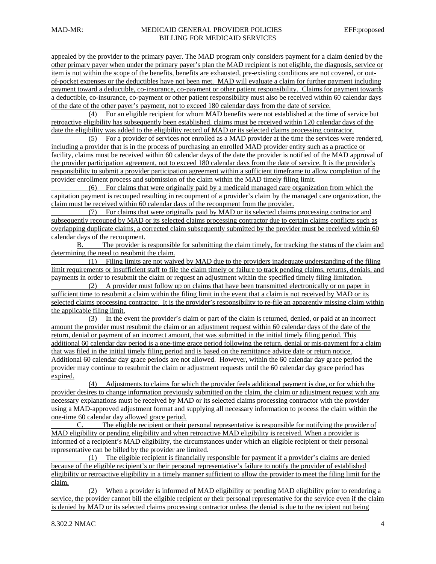appealed by the provider to the primary payer. The MAD program only considers payment for a claim denied by the other primary payer when under the primary payer's plan the MAD recipient is not eligible, the diagnosis, service or item is not within the scope of the benefits, benefits are exhausted, pre-existing conditions are not covered, or outof-pocket expenses or the deductibles have not been met. MAD will evaluate a claim for further payment including payment toward a deductible, co-insurance, co-payment or other patient responsibility. Claims for payment towards a deductible, co-insurance, co-payment or other patient responsibility must also be received within 60 calendar days of the date of the other payer's payment, not to exceed 180 calendar days from the date of service.

 (4) For an eligible recipient for whom MAD benefits were not established at the time of service but retroactive eligibility has subsequently been established, claims must be received within 120 calendar days of the date the eligibility was added to the eligibility record of MAD or its selected claims processing contractor.

 (5) For a provider of services not enrolled as a MAD provider at the time the services were rendered, including a provider that is in the process of purchasing an enrolled MAD provider entity such as a practice or facility, claims must be received within 60 calendar days of the date the provider is notified of the MAD approval of the provider participation agreement, not to exceed 180 calendar days from the date of service. It is the provider's responsibility to submit a provider participation agreement within a sufficient timeframe to allow completion of the provider enrollment process and submission of the claim within the MAD timely filing limit.

 (6) For claims that were originally paid by a medicaid managed care organization from which the capitation payment is recouped resulting in recoupment of a provider's claim by the managed care organization, the claim must be received within 60 calendar days of the recoupment from the provider.

 (7) For claims that were originally paid by MAD or its selected claims processing contractor and subsequently recouped by MAD or its selected claims processing contractor due to certain claims conflicts such as overlapping duplicate claims, a corrected claim subsequently submitted by the provider must be received within 60 calendar days of the recoupment.

 B. The provider is responsible for submitting the claim timely, for tracking the status of the claim and determining the need to resubmit the claim.

 (1) Filing limits are not waived by MAD due to the providers inadequate understanding of the filing limit requirements or insufficient staff to file the claim timely or failure to track pending claims, returns, denials, and payments in order to resubmit the claim or request an adjustment within the specified timely filing limitation.

 (2) A provider must follow up on claims that have been transmitted electronically or on paper in sufficient time to resubmit a claim within the filing limit in the event that a claim is not received by MAD or its selected claims processing contractor. It is the provider's responsibility to re-file an apparently missing claim within the applicable filing limit.

 (3) In the event the provider's claim or part of the claim is returned, denied, or paid at an incorrect amount the provider must resubmit the claim or an adjustment request within 60 calendar days of the date of the return, denial or payment of an incorrect amount, that was submitted in the initial timely filing period. This additional 60 calendar day period is a one-time grace period following the return, denial or mis-payment for a claim that was filed in the initial timely filing period and is based on the remittance advice date or return notice. Additional 60 calendar day grace periods are not allowed. However, within the 60 calendar day grace period the provider may continue to resubmit the claim or adjustment requests until the 60 calendar day grace period has expired.

 (4) Adjustments to claims for which the provider feels additional payment is due, or for which the provider desires to change information previously submitted on the claim, the claim or adjustment request with any necessary explanations must be received by MAD or its selected claims processing contractor with the provider using a MAD-approved adjustment format and supplying all necessary information to process the claim within the one-time 60 calendar day allowed grace period.

 C. The eligible recipient or their personal representative is responsible for notifying the provider of MAD eligibility or pending eligibility and when retroactive MAD eligibility is received. When a provider is informed of a recipient's MAD eligibility, the circumstances under which an eligible recipient or their personal representative can be billed by the provider are limited.

 (1) The eligible recipient is financially responsible for payment if a provider's claims are denied because of the eligible recipient's or their personal representative's failure to notify the provider of established eligibility or retroactive eligibility in a timely manner sufficient to allow the provider to meet the filing limit for the claim.

 (2) When a provider is informed of MAD eligibility or pending MAD eligibility prior to rendering a service, the provider cannot bill the eligible recipient or their personal representative for the service even if the claim is denied by MAD or its selected claims processing contractor unless the denial is due to the recipient not being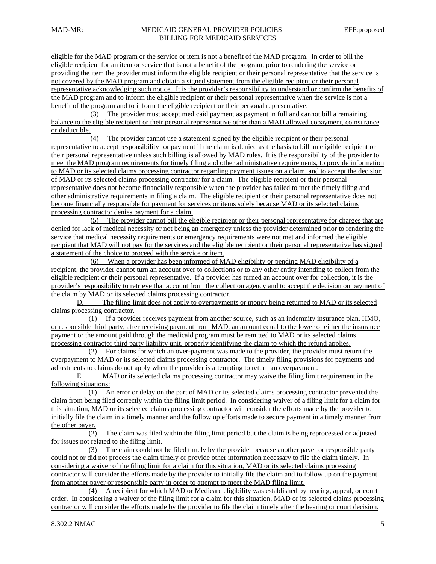eligible for the MAD program or the service or item is not a benefit of the MAD program. In order to bill the eligible recipient for an item or service that is not a benefit of the program, prior to rendering the service or providing the item the provider must inform the eligible recipient or their personal representative that the service is not covered by the MAD program and obtain a signed statement from the eligible recipient or their personal representative acknowledging such notice. It is the provider's responsibility to understand or confirm the benefits of the MAD program and to inform the eligible recipient or their personal representative when the service is not a benefit of the program and to inform the eligible recipient or their personal representative.

 (3) The provider must accept medicaid payment as payment in full and cannot bill a remaining balance to the eligible recipient or their personal representative other than a MAD allowed copayment, coinsurance or deductible.

 (4) The provider cannot use a statement signed by the eligible recipient or their personal representative to accept responsibility for payment if the claim is denied as the basis to bill an eligible recipient or their personal representative unless such billing is allowed by MAD rules. It is the responsibility of the provider to meet the MAD program requirements for timely filing and other administrative requirements, to provide information to MAD or its selected claims processing contractor regarding payment issues on a claim, and to accept the decision of MAD or its selected claims processing contractor for a claim. The eligible recipient or their personal representative does not become financially responsible when the provider has failed to met the timely filing and other administrative requirements in filing a claim. The eligible recipient or their personal representative does not become financially responsible for payment for services or items solely because MAD or its selected claims processing contractor denies payment for a claim.

 (5) The provider cannot bill the eligible recipient or their personal representative for charges that are denied for lack of medical necessity or not being an emergency unless the provider determined prior to rendering the service that medical necessity requirements or emergency requirements were not met and informed the eligible recipient that MAD will not pay for the services and the eligible recipient or their personal representative has signed a statement of the choice to proceed with the service or item.

 (6) When a provider has been informed of MAD eligibility or pending MAD eligibility of a recipient, the provider cannot turn an account over to collections or to any other entity intending to collect from the eligible recipient or their personal representative. If a provider has turned an account over for collection, it is the provider's responsibility to retrieve that account from the collection agency and to accept the decision on payment of the claim by MAD or its selected claims processing contractor.

 D. The filing limit does not apply to overpayments or money being returned to MAD or its selected claims processing contractor.

 (1) If a provider receives payment from another source, such as an indemnity insurance plan, HMO, or responsible third party, after receiving payment from MAD, an amount equal to the lower of either the insurance payment or the amount paid through the medicaid program must be remitted to MAD or its selected claims processing contractor third party liability unit, properly identifying the claim to which the refund applies.

 (2) For claims for which an over-payment was made to the provider, the provider must return the overpayment to MAD or its selected claims processing contractor. The timely filing provisions for payments and adjustments to claims do not apply when the provider is attempting to return an overpayment.

 E. MAD or its selected claims processing contractor may waive the filing limit requirement in the following situations:

 (1) An error or delay on the part of MAD or its selected claims processing contractor prevented the claim from being filed correctly within the filing limit period. In considering waiver of a filing limit for a claim for this situation, MAD or its selected claims processing contractor will consider the efforts made by the provider to initially file the claim in a timely manner and the follow up efforts made to secure payment in a timely manner from the other payer.

 (2) The claim was filed within the filing limit period but the claim is being reprocessed or adjusted for issues not related to the filing limit.

 (3) The claim could not be filed timely by the provider because another payer or responsible party could not or did not process the claim timely or provide other information necessary to file the claim timely. In considering a waiver of the filing limit for a claim for this situation, MAD or its selected claims processing contractor will consider the efforts made by the provider to initially file the claim and to follow up on the payment from another payer or responsible party in order to attempt to meet the MAD filing limit.

 (4) A recipient for which MAD or Medicare eligibility was established by hearing, appeal, or court order. In considering a waiver of the filing limit for a claim for this situation, MAD or its selected claims processing contractor will consider the efforts made by the provider to file the claim timely after the hearing or court decision.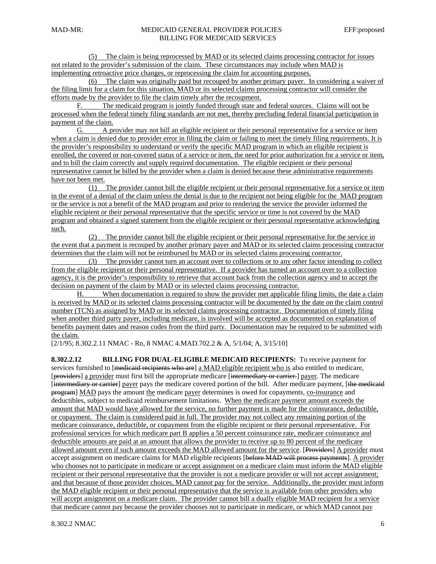(5) The claim is being reprocessed by MAD or its selected claims processing contractor for issues not related to the provider's submission of the claim. These circumstances may include when MAD is implementing retroactive price changes, or reprocessing the claim for accounting purposes.

 (6) The claim was originally paid but recouped by another primary payer. In considering a waiver of the filing limit for a claim for this situation, MAD or its selected claims processing contractor will consider the efforts made by the provider to file the claim timely after the recoupment.

 F. The medicaid program is jointly funded through state and federal sources. Claims will not be processed when the federal timely filing standards are not met, thereby precluding federal financial participation in payment of the claim.

 G. A provider may not bill an eligible recipient or their personal representative for a service or item when a claim is denied due to provider error in filing the claim or failing to meet the timely filing requirements. It is the provider's responsibility to understand or verify the specific MAD program in which an eligible recipient is enrolled, the covered or non-covered status of a service or item, the need for prior authorization for a service or item, and to bill the claim correctly and supply required documentation. The eligible recipient or their personal representative cannot be billed by the provider when a claim is denied because these administrative requirements have not been met.

 (1) The provider cannot bill the eligible recipient or their personal representative for a service or item in the event of a denial of the claim unless the denial is due to the recipient not being eligible for the MAD program or the service is not a benefit of the MAD program and prior to rendering the service the provider informed the eligible recipient or their personal representative that the specific service or time is not covered by the MAD program and obtained a signed statement from the eligible recipient or their personal representative acknowledging such.

 (2) The provider cannot bill the eligible recipient or their personal representative for the service in the event that a payment is recouped by another primary payer and MAD or its selected claims processing contractor determines that the claim will not be reimbursed by MAD or its selected claims processing contractor.

 (3) The provider cannot turn an account over to collections or to any other factor intending to collect from the eligible recipient or their personal representative. If a provider has turned an account over to a collection agency, it is the provider's responsibility to retrieve that account back from the collection agency and to accept the decision on payment of the claim by MAD or its selected claims processing contractor.

 H. When documentation is required to show the provider met applicable filing limits, the date a claim is received by MAD or its selected claims processing contractor will be documented by the date on the claim control number (TCN) as assigned by MAD or its selected claims processing contractor. Documentation of timely filing when another third party payer, including medicare, is involved will be accepted as documented on explanation of benefits payment dates and reason codes from the third party. Documentation may be required to be submitted with the claim.

[2/1/95; 8.302.2.11 NMAC - Rn, 8 NMAC 4.MAD.702.2 & A, 5/1/04; A, 3/15/10]

**8.302.2.12 BILLING FOR DUAL-ELIGIBLE MEDICAID RECIPIENTS:** To receive payment for services furnished to [medicaid recipients who are] a MAD eligible recipient who is also entitled to medicare, [providers] a provider must first bill the appropriate medicare [intermediary or carrier.] payer. The medicare [intermediary or carrier] payer pays the medicare covered portion of the bill. After medicare payment, [the medicaid program] MAD pays the amount the medicare payer determines is owed for copayments, co-insurance and deductibles, subject to medicaid reimbursement limitations. When the medicare payment amount exceeds the amount that MAD would have allowed for the service, no further payment is made for the coinsurance, deductible, or copayment. The claim is considered paid in full. The provider may not collect any remaining portion of the medicare coinsurance, deductible, or copayment from the eligible recipient or their personal representative. For professional services for which medicare part B applies a 50 percent coinsurance rate, medicare coinsurance and deductible amounts are paid at an amount that allows the provider to receive up to 80 percent of the medicare allowed amount even if such amount exceeds the MAD allowed amount for the service. [Providers] A provider must accept assignment on medicare claims for MAD eligible recipients [before MAD will process payments]. A provider who chooses not to participate in medicare or accept assignment on a medicare claim must inform the MAD eligible recipient or their personal representative that the provider is not a medicare provider or will not accept assignment; and that because of those provider choices, MAD cannot pay for the service. Additionally, the provider must inform the MAD eligible recipient or their personal representative that the service is available from other providers who will accept assignment on a medicare claim. The provider cannot bill a dually eligible MAD recipient for a service that medicare cannot pay because the provider chooses not to participate in medicare, or which MAD cannot pay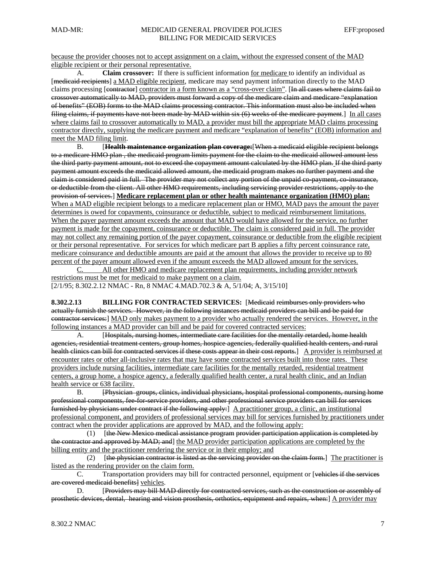because the provider chooses not to accept assignment on a claim, without the expressed consent of the MAD eligible recipient or their personal representative.

 A. **Claim crossover:** If there is sufficient information for medicare to identify an individual as [medicaid recipients] a MAD eligible recipient, medicare may send payment information directly to the MAD claims processing [contractor] contractor in a form known as a "cross-over claim". [In all cases where claims fail to crossover automatically to MAD, providers must forward a copy of the medicare claim and medicare "explanation of benefits" (EOB) forms to the MAD claims processing contractor. This information must also be included when filing claims, if payments have not been made by MAD within six (6) weeks of the medicare payment.] In all cases where claims fail to crossover automatically to MAD, a provider must bill the appropriate MAD claims processing contractor directly, supplying the medicare payment and medicare "explanation of benefits" (EOB) information and meet the MAD filing limit.

 B. [**Health maintenance organization plan coverage:**[When a medicaid eligible recipient belongs to a medicare HMO plan , the medicaid program limits payment for the claim to the medicaid allowed amount less the third party payment amount, not to exceed the copayment amount calculated by the HMO plan. If the third party payment amount exceeds the medicaid allowed amount, the medicaid program makes no further payment and the claim is considered paid in full. The provider may not collect any portion of the unpaid co-payment, co-insurance, or deductible from the client. All other HMO requirements, including servicing provider restrictions, apply to the provision of services.] **Medicare replacement plan or other health maintenance organization (HMO) plan:**  When a MAD eligible recipient belongs to a medicare replacement plan or HMO, MAD pays the amount the payer determines is owed for copayments, coinsurance or deductible, subject to medicaid reimbursement limitations. When the payer payment amount exceeds the amount that MAD would have allowed for the service, no further payment is made for the copayment, coinsurance or deductible. The claim is considered paid in full. The provider may not collect any remaining portion of the payer copayment, coinsurance or deductible from the eligible recipient or their personal representative. For services for which medicare part B applies a fifty percent coinsurance rate, medicare coinsurance and deductible amounts are paid at the amount that allows the provider to receive up to 80 percent of the payer amount allowed even if the amount exceeds the MAD allowed amount for the services.

 C. All other HMO and medicare replacement plan requirements, including provider network restrictions must be met for medicaid to make payment on a claim. [2/1/95; 8.302.2.12 NMAC - Rn, 8 NMAC 4.MAD.702.3 & A, 5/1/04; A, 3/15/10]

**8.302.2.13 BILLING FOR CONTRACTED SERVICES:** [Medicaid reimburses only providers who actually furnish the services. However, in the following instances medicaid providers can bill and be paid for contractor services:] MAD only makes payment to a provider who actually rendered the services. However, in the following instances a MAD provider can bill and be paid for covered contracted services:

 A. [Hospitals, nursing homes, intermediate care facilities for the mentally retarded, home health agencies, residential treatment centers, group homes, hospice agencies, federally qualified health centers, and rural health clinics can bill for contracted services if these costs appear in their cost reports.] A provider is reimbursed at encounter rates or other all-inclusive rates that may have some contracted services built into those rates. These providers include nursing facilities, intermediate care facilities for the mentally retarded, residential treatment centers, a group home, a hospice agency, a federally qualified health center, a rural health clinic, and an Indian health service or 638 facility.

 B. [Physician groups, clinics, individual physicians, hospital professional components, nursing home professional components, fee-for-service providers, and other professional service providers can bill for services furnished by physicians under contract if the following apply:] A practitioner group, a clinic, an institutional professional component, and providers of professional services may bill for services furnished by practitioners under contract when the provider applications are approved by MAD, and the following apply:

 (1) [the New Mexico medical assistance program provider participation application is completed by the contractor and approved by MAD; and] the MAD provider participation applications are completed by the billing entity and the practitioner rendering the service or in their employ; and

(2)  $[the physical constructor is listed as the serving provider on the claim form.] The practitioner is$ listed as the rendering provider on the claim form.

 C. Transportation providers may bill for contracted personnel, equipment or [vehicles if the services are covered medicaid benefits] vehicles.

D. **[Providers may bill MAD directly for contracted services, such as the construction or assembly of** prosthetic devices, dental, hearing and vision prosthesis, orthotics, equipment and repairs, when:] A provider may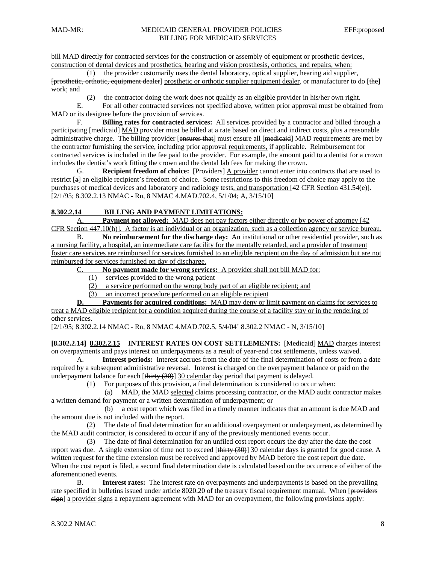bill MAD directly for contracted services for the construction or assembly of equipment or prosthetic devices, construction of dental devices and prosthetics, hearing and vision prosthesis, orthotics, and repairs, when:

 (1) the provider customarily uses the dental laboratory, optical supplier, hearing aid supplier, [prosthetic, orthotic, equipment dealer] prosthetic or orthotic supplier equipment dealer, or manufacturer to do [the] work; and

(2) the contractor doing the work does not qualify as an eligible provider in his/her own right.

 E. For all other contracted services not specified above, written prior approval must be obtained from MAD or its designee before the provision of services.

 F. **Billing rates for contracted services:** All services provided by a contractor and billed through a participating [medicaid] MAD provider must be billed at a rate based on direct and indirect costs, plus a reasonable administrative charge. The billing provider [ensures that] must ensure all [medicaid] MAD requirements are met by the contractor furnishing the service, including prior approval requirements, if applicable. Reimbursement for contracted services is included in the fee paid to the provider. For example, the amount paid to a dentist for a crown includes the dentist's work fitting the crown and the dental lab fees for making the crown.

 G. **Recipient freedom of choice:** [Providers] A provider cannot enter into contracts that are used to restrict [a] an eligible recipient's freedom of choice. Some restrictions to this freedom of choice may apply to the purchases of medical devices and laboratory and radiology tests, and transportation [42 CFR Section 431.54(e)]. [2/1/95; 8.302.2.13 NMAC - Rn, 8 NMAC 4.MAD.702.4, 5/1/04; A, 3/15/10]

#### **8.302.2.14 BILLING AND PAYMENT LIMITATIONS:**

 A. **Payment not allowed:** MAD does not pay factors either directly or by power of attorney [42 CFR Section 447.10(h)]. A factor is an individual or an organization, such as a collection agency or service bureau.

 B. **No reimbursement for the discharge day:** An institutional or other residential provider, such as a nursing facility, a hospital, an intermediate care facility for the mentally retarded, and a provider of treatment foster care services are reimbursed for services furnished to an eligible recipient on the day of admission but are not reimbursed for services furnished on day of discharge.

C. **No payment made for wrong services:** A provider shall not bill MAD for:

(1) services provided to the wrong patient

(2) a service performed on the wrong body part of an eligible recipient; and

(3) an incorrect procedure performed on an eligible recipient

**D. Payments for acquired conditions:** MAD may deny or limit payment on claims for services to treat a MAD eligible recipient for a condition acquired during the course of a facility stay or in the rendering of other services.

[2/1/95; 8.302.2.14 NMAC - Rn, 8 NMAC 4.MAD.702.5, 5/4/04' 8.302.2 NMAC - N, 3/15/10]

**[8.302.2.14] 8.302.2.15 INTEREST RATES ON COST SETTLEMENTS:** [Medicaid] MAD charges interest on overpayments and pays interest on underpayments as a result of year-end cost settlements, unless waived.

 A. **Interest periods:** Interest accrues from the date of the final determination of costs or from a date required by a subsequent administrative reversal. Interest is charged on the overpayment balance or paid on the underpayment balance for each [thirty (30)] 30 calendar day period that payment is delayed.

(1) For purposes of this provision, a final determination is considered to occur when:

 (a) MAD, the MAD selected claims processing contractor, or the MAD audit contractor makes a written demand for payment or a written determination of underpayment; or

 (b) a cost report which was filed in a timely manner indicates that an amount is due MAD and the amount due is not included with the report.

 (2) The date of final determination for an additional overpayment or underpayment, as determined by the MAD audit contractor, is considered to occur if any of the previously mentioned events occur.

 (3) The date of final determination for an unfiled cost report occurs the day after the date the cost report was due. A single extension of time not to exceed  $[\frac{thirtv}{30}]$  30 calendar days is granted for good cause. A written request for the time extension must be received and approved by MAD before the cost report due date. When the cost report is filed, a second final determination date is calculated based on the occurrence of either of the aforementioned events.

 B. **Interest rates:** The interest rate on overpayments and underpayments is based on the prevailing rate specified in bulletins issued under article 8020.20 of the treasury fiscal requirement manual. When [providers sign] a provider signs a repayment agreement with MAD for an overpayment, the following provisions apply: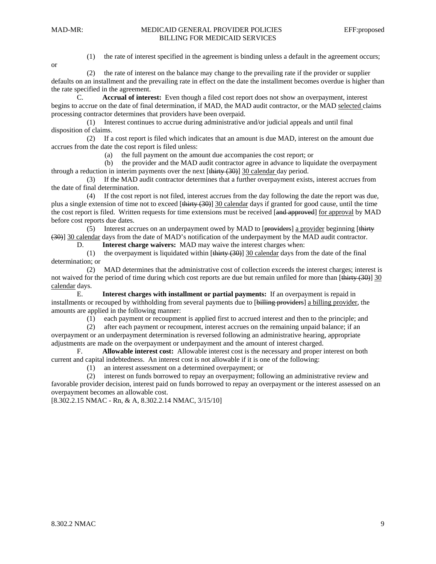or

(1) the rate of interest specified in the agreement is binding unless a default in the agreement occurs;

 (2) the rate of interest on the balance may change to the prevailing rate if the provider or supplier defaults on an installment and the prevailing rate in effect on the date the installment becomes overdue is higher than the rate specified in the agreement.

 C. **Accrual of interest:** Even though a filed cost report does not show an overpayment, interest begins to accrue on the date of final determination, if MAD, the MAD audit contractor, or the MAD selected claims processing contractor determines that providers have been overpaid.

 (1) Interest continues to accrue during administrative and/or judicial appeals and until final disposition of claims.

 (2) If a cost report is filed which indicates that an amount is due MAD, interest on the amount due accrues from the date the cost report is filed unless:

(a) the full payment on the amount due accompanies the cost report; or

 (b) the provider and the MAD audit contractor agree in advance to liquidate the overpayment through a reduction in interim payments over the next  $[\frac{thirty (30)}]$  30 calendar day period.

 (3) If the MAD audit contractor determines that a further overpayment exists, interest accrues from the date of final determination.

 (4) If the cost report is not filed, interest accrues from the day following the date the report was due, plus a single extension of time not to exceed [thirty (30)] 30 calendar days if granted for good cause, until the time the cost report is filed. Written requests for time extensions must be received [and approved] for approval by MAD before cost reports due dates.

(5) Interest accrues on an underpayment owed by MAD to [providers] a provider beginning [thirty] (30)] 30 calendar days from the date of MAD's notification of the underpayment by the MAD audit contractor.

D. **Interest charge waivers:** MAD may waive the interest charges when:

(1) the overpayment is liquidated within  $[\frac{\text{thirty}}{(30)}]$  30 calendar days from the date of the final determination; or

 (2) MAD determines that the administrative cost of collection exceeds the interest charges; interest is not waived for the period of time during which cost reports are due but remain unfiled for more than  $[\frac{\text{thirty (30)}}{30}]$ calendar days.

 E. **Interest charges with installment or partial payments:** If an overpayment is repaid in installments or recouped by withholding from several payments due to [billing providers] a billing provider, the amounts are applied in the following manner:

(1) each payment or recoupment is applied first to accrued interest and then to the principle; and

 (2) after each payment or recoupment, interest accrues on the remaining unpaid balance; if an overpayment or an underpayment determination is reversed following an administrative hearing, appropriate adjustments are made on the overpayment or underpayment and the amount of interest charged.

 F. **Allowable interest cost:** Allowable interest cost is the necessary and proper interest on both current and capital indebtedness. An interest cost is not allowable if it is one of the following:

(1) an interest assessment on a determined overpayment; or

 (2) interest on funds borrowed to repay an overpayment; following an administrative review and favorable provider decision, interest paid on funds borrowed to repay an overpayment or the interest assessed on an overpayment becomes an allowable cost.

[8.302.2.15 NMAC - Rn, & A, 8.302.2.14 NMAC, 3/15/10]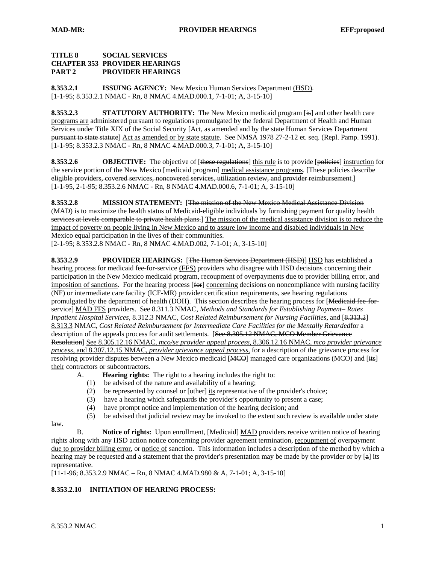#### **TITLE 8 SOCIAL SERVICES CHAPTER 353 PROVIDER HEARINGS PART 2 PROVIDER HEARINGS**

**8.353.2.1 ISSUING AGENCY:** New Mexico Human Services Department (HSD). [1-1-95; 8.353.2.1 NMAC - Rn, 8 NMAC 4.MAD.000.1, 7-1-01; A, 3-15-10]

**8.353.2.3 STATUTORY AUTHORITY:** The New Mexico medicaid program [is] and other health care programs are administered pursuant to regulations promulgated by the federal Department of Health and Human Services under Title XIX of the Social Security [Act, as amended and by the state Human Services Department pursuant to state statute] Act as amended or by state statute. See NMSA 1978 27-2-12 et. seq. (Repl. Pamp. 1991). [1-1-95; 8.353.2.3 NMAC - Rn, 8 NMAC 4.MAD.000.3, 7-1-01; A, 3-15-10]

**8.353.2.6 OBJECTIVE:** The objective of [these regulations] this rule is to provide [policies] instruction for the service portion of the New Mexico [<del>medicaid program]</del> medical assistance programs. [These policies describe eligible providers, covered services, noncovered services, utilization review, and provider reimbursement.] [1-1-95, 2-1-95; 8.353.2.6 NMAC - Rn, 8 NMAC 4.MAD.000.6, 7-1-01; A, 3-15-10]

**8.353.2.8 MISSION STATEMENT:** [The mission of the New Mexico Medical Assistance Division (MAD) is to maximize the health status of Medicaid-eligible individuals by furnishing payment for quality health services at levels comparable to private health plans.] The mission of the medical assistance division is to reduce the impact of poverty on people living in New Mexico and to assure low income and disabled individuals in New Mexico equal participation in the lives of their communities.

[2-1-95; 8.353.2.8 NMAC - Rn, 8 NMAC 4.MAD.002, 7-1-01; A, 3-15-10]

**8.353.2.9 PROVIDER HEARINGS:** [The Human Services Department (HSD)] HSD has established a hearing process for medicaid fee-for-service (FFS) providers who disagree with HSD decisions concerning their participation in the New Mexico medicaid program, recoupment of overpayments due to provider billing error, and imposition of sanctions. For the hearing process  $[60]$  concerning decisions on noncompliance with nursing facility (NF) or intermediate care facility (ICF-MR) provider certification requirements, see hearing regulations promulgated by the department of health (DOH). This section describes the hearing process for [Medicaid fee forservice] MAD FFS providers. See 8.311.3 NMAC, *Methods and Standards for Establishing Payment*– *Rates Inpatient Hospital Services*, 8.312.3 NMAC, *Cost Related Reimbursement for Nursing Facilities*, and [8.313.2] 8.313.3 NMAC, *Cost Related Reimbursement for Intermediate Care Facilities for the Mentally Retarded*for a description of the appeals process for audit settlements. [See 8.305.12 NMAC, MCO Member Grievance Resolution] See 8.305.12.16 NMAC, *mco/se provider appeal process*, 8.306.12.16 NMAC, *mco provider grievance process*, and 8.307.12.15 NMAC, *provider grievance appeal process*, for a description of the grievance process for resolving provider disputes between a New Mexico medicaid [MCO] managed care organizations (MCO) and [its] their contractors or subcontractors.

- A. **Hearing rights:** The right to a hearing includes the right to:
	- (1) be advised of the nature and availability of a hearing;
	- (2) be represented by counsel or [other] its representative of the provider's choice;
	- (3) have a hearing which safeguards the provider's opportunity to present a case;
	- (4) have prompt notice and implementation of the hearing decision; and
	- (5) be advised that judicial review may be invoked to the extent such review is available under state

 B. **Notice of rights:** Upon enrollment, [Medicaid] MAD providers receive written notice of hearing rights along with any HSD action notice concerning provider agreement termination, recoupment of overpayment due to provider billing error, or notice of sanction. This information includes a description of the method by which a hearing may be requested and a statement that the provider's presentation may be made by the provider or by [a] its representative.

[11-1-96; 8.353.2.9 NMAC – Rn, 8 NMAC 4.MAD.980 & A, 7-1-01; A, 3-15-10]

## **8.353.2.10 INITIATION OF HEARING PROCESS:**

law.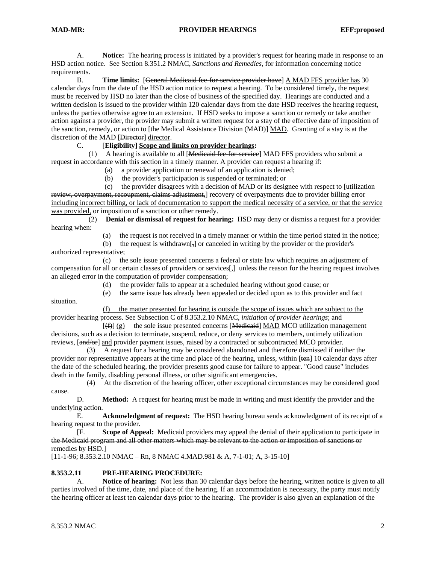A. **Notice:** The hearing process is initiated by a provider's request for hearing made in response to an HSD action notice. See Section 8.351.2 NMAC, *Sanctions and Remedies*, for information concerning notice requirements.

 B. **Time limits:** [General Medicaid fee-for-service provider have] A MAD FFS provider has 30 calendar days from the date of the HSD action notice to request a hearing. To be considered timely, the request must be received by HSD no later than the close of business of the specified day. Hearings are conducted and a written decision is issued to the provider within 120 calendar days from the date HSD receives the hearing request, unless the parties otherwise agree to an extension. If HSD seeks to impose a sanction or remedy or take another action against a provider, the provider may submit a written request for a stay of the effective date of imposition of the sanction, remedy, or action to [the Medical Assistance Division (MAD)] MAD. Granting of a stay is at the discretion of the MAD [Director] director.<br>C. [Eligibility] Scope and I

#### C. [**Eligibility] Scope and limits on provider hearings:**

 (1) A hearing is available to all [Medicaid fee-for-service] MAD FFS providers who submit a request in accordance with this section in a timely manner. A provider can request a hearing if:

- (a) a provider application or renewal of an application is denied;
- (b) the provider's participation is suspended or terminated; or
- (c) the provider disagrees with a decision of MAD or its designee with respect to  $\overline{u}$  utilization

review, overpayment, recoupment, claims adjustment, recovery of overpayments due to provider billing error including incorrect billing, or lack of documentation to support the medical necessity of a service, or that the service was provided, or imposition of a sanction or other remedy.

 (2) **Denial or dismissal of request for hearing:** HSD may deny or dismiss a request for a provider hearing when:

(a) the request is not received in a timely manner or within the time period stated in the notice;

(b) the request is withdrawn $\left[\frac{1}{2}\right]$  or canceled in writing by the provider or the provider's authorized representative;

 (c) the sole issue presented concerns a federal or state law which requires an adjustment of compensation for all or certain classes of providers or services $\left[\cdot\right]$  unless the reason for the hearing request involves an alleged error in the computation of provider compensation;

- (d) the provider fails to appear at a scheduled hearing without good cause; or
- (e) the same issue has already been appealed or decided upon as to this provider and fact

 (f) the matter presented for hearing is outside the scope of issues which are subject to the provider hearing process. See Subsection C of 8.353.2.10 NMAC, *initiation of provider hearings*; and

 $[(f)] (g)$  the sole issue presented concerns [Medicaid] MAD MCO utilization management decisions, such as a decision to terminate, suspend, reduce, or deny services to members, untimely utilization reviews,  $\left[\frac{and}{or}\right]$  and provider payment issues, raised by a contracted or subcontracted MCO provider.

 (3) A request for a hearing may be considered abandoned and therefore dismissed if neither the provider nor representative appears at the time and place of the hearing, unless, within [ten] 10 calendar days after the date of the scheduled hearing, the provider presents good cause for failure to appear. "Good cause" includes death in the family, disabling personal illness, or other significant emergencies.

 (4) At the discretion of the hearing officer, other exceptional circumstances may be considered good cause.

 D. **Method:** A request for hearing must be made in writing and must identify the provider and the underlying action.

 E. **Acknowledgment of request:** The HSD hearing bureau sends acknowledgment of its receipt of a hearing request to the provider.

 [F. **Scope of Appeal:** Medicaid providers may appeal the denial of their application to participate in the Medicaid program and all other matters which may be relevant to the action or imposition of sanctions or remedies by HSD.]

 $[11-1-96; 8.353.2.10 NMAC - Rn, 8 NMAC 4.MAD.981 & A, 7-1-01; A, 3-15-10]$ 

#### **8.353.2.11 PRE-HEARING PROCEDURE:**

 A. **Notice of hearing:** Not less than 30 calendar days before the hearing, written notice is given to all parties involved of the time, date, and place of the hearing. If an accommodation is necessary, the party must notify the hearing officer at least ten calendar days prior to the hearing. The provider is also given an explanation of the

situation.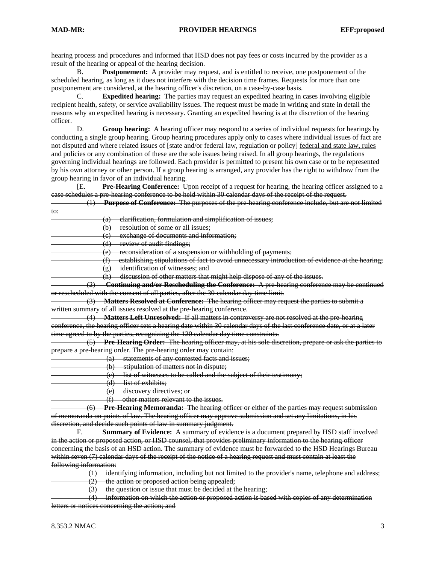hearing process and procedures and informed that HSD does not pay fees or costs incurred by the provider as a result of the hearing or appeal of the hearing decision.

 B. **Postponement:** A provider may request, and is entitled to receive, one postponement of the scheduled hearing, as long as it does not interfere with the decision time frames. Requests for more than one postponement are considered, at the hearing officer's discretion, on a case-by-case basis.

 C. **Expedited hearing:** The parties may request an expedited hearing in cases involving eligible recipient health, safety, or service availability issues. The request must be made in writing and state in detail the reasons why an expedited hearing is necessary. Granting an expedited hearing is at the discretion of the hearing officer.

 D. **Group hearing:** A hearing officer may respond to a series of individual requests for hearings by conducting a single group hearing. Group hearing procedures apply only to cases where individual issues of fact are not disputed and where related issues of [state and/or federal law, regulation or policy] federal and state law, rules and policies or any combination of these are the sole issues being raised. In all group hearings, the regulations governing individual hearings are followed. Each provider is permitted to present his own case or to be represented by his own attorney or other person. If a group hearing is arranged, any provider has the right to withdraw from the group hearing in favor of an individual hearing.

 [E. **Pre-Hearing Conference:** Upon receipt of a request for hearing, the hearing officer assigned to a case schedules a pre-hearing conference to be held within 30 calendar days of the receipt of the request.

 (1) **Purpose of Conference:** The purposes of the pre-hearing conference include, but are not limited to:

- (a) clarification, formulation and simplification of issues; (b) resolution of some or all issues; (c) exchange of documents and information; (d) review of audit findings; (e) reconsideration of a suspension or withholding of payments; (f) establishing stipulations of fact to avoid unnecessary introduction of evidence at the hearing; (g) identification of witnesses; and (h) discussion of other matters that might help dispose of any of the issues. (2) **Continuing and/or Rescheduling the Conference:** A pre-hearing conference may be continued or rescheduled with the consent of all parties, after the 30 calendar day time limit. (3) **Matters Resolved at Conference:** The hearing officer may request the parties to submit a written summary of all issues resolved at the pre-hearing conference. (4) **Matters Left Unresolved:** If all matters in controversy are not resolved at the pre-hearing conference, the hearing officer sets a hearing date within 30 calendar days of the last conference date, or at a later time agreed to by the parties, recognizing the 120 calendar day time constraints. (5) **Pre-Hearing Order:** The hearing officer may, at his sole discretion, prepare or ask the parties to prepare a pre-hearing order. The pre-hearing order may contain: (a) statements of any contested facts and issues; (b) stipulation of matters not in dispute; (c) list of witnesses to be called and the subject of their testimony; (d) list of exhibits; (e) discovery directives; or (f) other matters relevant to the issues. (6) **Pre-Hearing Memoranda:** The hearing officer or either of the parties may request submission of memoranda on points of law. The hearing officer may approve submission and set any limitations, in his discretion, and decide such points of law in summary judgment. F. **Summary of Evidence:** A summary of evidence is a document prepared by HSD staff involved in the action or proposed action, or HSD counsel, that provides preliminary information to the hearing officer concerning the basis of an HSD action. The summary of evidence must be forwarded to the HSD Hearings Bureau within seven (7) calendar days of the receipt of the notice of a hearing request and must contain at least the following information:
- (1) identifying information, including but not limited to the provider's name, telephone and address; (2) the action or proposed action being appealed;
- (3) the question or issue that must be decided at the hearing;

 (4) information on which the action or proposed action is based with copies of any determination letters or notices concerning the action; and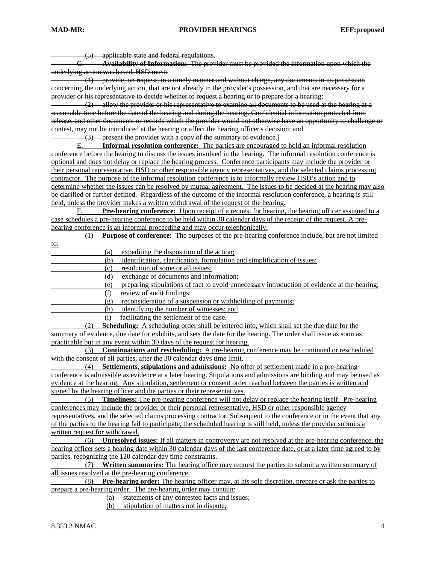(5) applicable state and federal regulations.<br><del>G. **Availability of Information:** The prov</del>

G. **Availability of Information:** The provider must be provided the information upon which the underlying action was based, HSD must:

 (1) provide, on request, in a timely manner and without charge, any documents in its possession concerning the underlying action, that are not already in the provider's possession, and that are necessary for a provider or his representative to decide whether to request a hearing or to prepare for a hearing;

 (2) allow the provider or his representative to examine all documents to be used at the hearing at a reasonable time before the date of the hearing and during the hearing. Confidential information protected from release, and other documents or records which the provider would not otherwise have an opportunity to challenge or contest, may not be introduced at the hearing or affect the hearing officer's decision; and

(3) present the provider with a copy of the summary of evidence.<br>E. **Informal resolution conference:** The parties are encouraged

Informal resolution conference: The parties are encouraged to hold an informal resolution conference before the hearing to discuss the issues involved in the hearing. The informal resolution conference is optional and does not delay or replace the hearing process. Conference participants may include the provider or their personal representative, HSD or other responsible agency representatives, and the selected claims processing contractor. The purpose of the informal resolution conference is to informally review HSD's action and to determine whether the issues can be resolved by mutual agreement. The issues to be decided at the hearing may also be clarified or further defined. Regardless of the outcome of the informal resolution conference, a hearing is still held, unless the provider makes a written withdrawal of the request of the hearing.

 F. **Pre-hearing conference:** Upon receipt of a request for hearing, the hearing officer assigned to a case schedules a pre-hearing conference to be held within 30 calendar days of the receipt of the request. A prehearing conference is an informal proceeding and may occur telephonically.

(1) **Purpose of conference:** The purposes of the pre-hearing conference include, but are not limited

to:

(a) expediting the disposition of the action;

(b) identification, clarification, formulation and simplification of issues;

(c) resolution of some or all issues;

(d) exchange of documents and information;

(e) preparing stipulations of fact to avoid unnecessary introduction of evidence at the hearing;

- (f) review of audit findings;
- (g) reconsideration of a suspension or withholding of payments;

(h) identifying the number of witnesses; and

(i) facilitating the settlement of the case.

 (2) **Scheduling:** A scheduling order shall be entered into, which shall set the due date for the summary of evidence, due date for exhibits, and sets the date for the hearing. The order shall issue as soon as practicable but in any event within 30 days of the request for hearing.

 (3) **Continuations and rescheduling:** A pre-hearing conference may be continued or rescheduled with the consent of all parties, after the 30 calendar days time limit.

 (4) **Settlements, stipulations and admissions:** No offer of settlement made in a pre-hearing conference is admissible as evidence at a later hearing. Stipulations and admissions are binding and may be used as evidence at the hearing. Any stipulation, settlement or consent order reached between the parties is written and signed by the hearing officer and the parties or their representatives.

(5) **Timeliness:** The pre-hearing conference will not delay or replace the hearing itself. Pre-hearing conferences may include the provider or their personal representative, HSD or other responsible agency representatives, and the selected claims processing contractor. Subsequent to the conference or in the event that any of the parties to the hearing fail to participate, the scheduled hearing is still held, unless the provider submits a written request for withdrawal.

 (6) **Unresolved issues:** If all matters in controversy are not resolved at the pre-hearing conference, the hearing officer sets a hearing date within 30 calendar days of the last conference date, or at a later time agreed to by parties, recognizing the 120 calendar day time constraints.

 (7) **Written summaries:** The hearing office may request the parties to submit a written summary of all issues resolved at the pre-hearing conference.

 (8) **Pre-hearing order:** The hearing officer may, at his sole discretion, prepare or ask the parties to prepare a pre-hearing order. The pre-hearing order may contain:

(a) statements of any contested facts and issues;

(b) stipulation of matters not in dispute;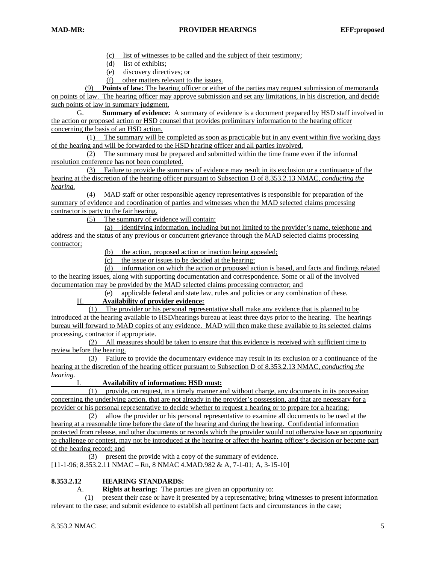(c) list of witnesses to be called and the subject of their testimony;

(d) list of exhibits;

(e) discovery directives; or

(f) other matters relevant to the issues.

 (9) **Points of law:** The hearing officer or either of the parties may request submission of memoranda on points of law. The hearing officer may approve submission and set any limitations, in his discretion, and decide such points of law in summary judgment.

 G. **Summary of evidence:** A summary of evidence is a document prepared by HSD staff involved in the action or proposed action or HSD counsel that provides preliminary information to the hearing officer concerning the basis of an HSD action.

 (1) The summary will be completed as soon as practicable but in any event within five working days of the hearing and will be forwarded to the HSD hearing officer and all parties involved.

 (2) The summary must be prepared and submitted within the time frame even if the informal resolution conference has not been completed.

 (3) Failure to provide the summary of evidence may result in its exclusion or a continuance of the hearing at the discretion of the hearing officer pursuant to Subsection D of 8.353.2.13 NMAC, *conducting the hearing.*

 (4) MAD staff or other responsible agency representatives is responsible for preparation of the summary of evidence and coordination of parties and witnesses when the MAD selected claims processing contractor is party to the fair hearing.

(5) The summary of evidence will contain:

 (a) identifying information, including but not limited to the provider's name, telephone and address and the status of any previous or concurrent grievance through the MAD selected claims processing contractor;

(b) the action, proposed action or inaction being appealed;

(c) the issue or issues to be decided at the hearing;

 (d) information on which the action or proposed action is based, and facts and findings related to the hearing issues, along with supporting documentation and correspondence. Some or all of the involved documentation may be provided by the MAD selected claims processing contractor; and

(e) applicable federal and state law, rules and policies or any combination of these.

## H. **Availability of provider evidence:**

 (1) The provider or his personal representative shall make any evidence that is planned to be introduced at the hearing available to HSD/hearings bureau at least three days prior to the hearing. The hearings bureau will forward to MAD copies of any evidence. MAD will then make these available to its selected claims processing, contractor if appropriate.

 (2) All measures should be taken to ensure that this evidence is received with sufficient time to review before the hearing.

 (3) Failure to provide the documentary evidence may result in its exclusion or a continuance of the hearing at the discretion of the hearing officer pursuant to Subsection D of 8.353.2.13 NMAC, *conducting the hearing.*

I. **Availability of information: HSD must:**

 (1) provide, on request, in a timely manner and without charge, any documents in its procession concerning the underlying action, that are not already in the provider's possession, and that are necessary for a provider or his personal representative to decide whether to request a hearing or to prepare for a hearing;

 (2) allow the provider or his personal representative to examine all documents to be used at the hearing at a reasonable time before the date of the hearing and during the hearing. Confidential information protected from release, and other documents or records which the provider would not otherwise have an opportunity to challenge or contest, may not be introduced at the hearing or affect the hearing officer's decision or become part of the hearing record; and

(3) present the provide with a copy of the summary of evidence.

[11-1-96; 8.353.2.11 NMAC – Rn, 8 NMAC 4.MAD.982 & A, 7-1-01; A, 3-15-10]

## **8.353.2.12 HEARING STANDARDS:**

A. **Rights at hearing:** The parties are given an opportunity to:

 (1) present their case or have it presented by a representative; bring witnesses to present information relevant to the case; and submit evidence to establish all pertinent facts and circumstances in the case;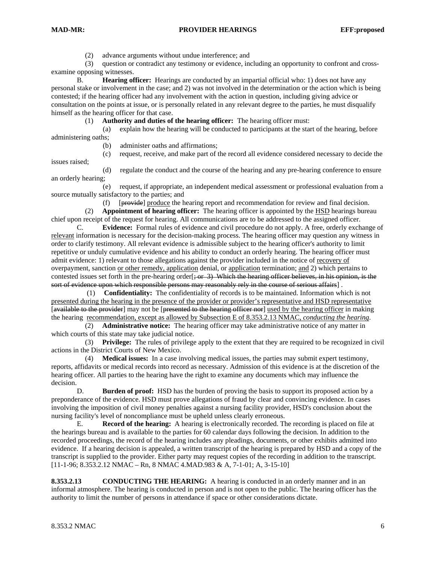issues raised;

(2) advance arguments without undue interference; and

 (3) question or contradict any testimony or evidence, including an opportunity to confront and crossexamine opposing witnesses.

 B. **Hearing officer:** Hearings are conducted by an impartial official who: 1) does not have any personal stake or involvement in the case; and 2) was not involved in the determination or the action which is being contested; if the hearing officer had any involvement with the action in question, including giving advice or consultation on the points at issue, or is personally related in any relevant degree to the parties, he must disqualify himself as the hearing officer for that case.

(1) **Authority and duties of the hearing officer:** The hearing officer must:

 (a) explain how the hearing will be conducted to participants at the start of the hearing, before administering oaths;

(b) administer oaths and affirmations;

(c) request, receive, and make part of the record all evidence considered necessary to decide the

 (d) regulate the conduct and the course of the hearing and any pre-hearing conference to ensure an orderly hearing;

 (e) request, if appropriate, an independent medical assessment or professional evaluation from a source mutually satisfactory to the parties; and

(f) [provide] produce the hearing report and recommendation for review and final decision.

 (2) **Appointment of hearing officer:** The hearing officer is appointed by the HSD hearings bureau chief upon receipt of the request for hearing. All communications are to be addressed to the assigned officer.

 C. **Evidence:** Formal rules of evidence and civil procedure do not apply. A free, orderly exchange of relevant information is necessary for the decision-making process. The hearing officer may question any witness in order to clarify testimony. All relevant evidence is admissible subject to the hearing officer's authority to limit repetitive or unduly cumulative evidence and his ability to conduct an orderly hearing. The hearing officer must admit evidence: 1) relevant to those allegations against the provider included in the notice of recovery of overpayment, sanction or other remedy, application denial, or application termination; and 2) which pertains to contested issues set forth in the pre-hearing order  $\frac{1}{2}$  which the hearing officer believes, in his opinion, is the sort of evidence upon which responsible persons may reasonably rely in the course of serious affairs] .

 (1) **Confidentiality:** The confidentiality of records is to be maintained. Information which is not presented during the hearing in the presence of the provider or provider's representative and HSD representative [available to the provider] may not be [presented to the hearing officer nor] used by the hearing officer in making the hearing recommendation, except as allowed by Subsection E of 8.353.2.13 NMAC, *conducting the hearing*.

 (2) **Administrative notice:** The hearing officer may take administrative notice of any matter in which courts of this state may take judicial notice.

 (3) **Privilege:** The rules of privilege apply to the extent that they are required to be recognized in civil actions in the District Courts of New Mexico.

 (4) **Medical issues:** In a case involving medical issues, the parties may submit expert testimony, reports, affidavits or medical records into record as necessary. Admission of this evidence is at the discretion of the hearing officer. All parties to the hearing have the right to examine any documents which may influence the decision.

 D. **Burden of proof:** HSD has the burden of proving the basis to support its proposed action by a preponderance of the evidence. HSD must prove allegations of fraud by clear and convincing evidence. In cases involving the imposition of civil money penalties against a nursing facility provider, HSD's conclusion about the nursing facility's level of noncompliance must be upheld unless clearly erroneous.

 E. **Record of the hearing:** A hearing is electronically recorded. The recording is placed on file at the hearings bureau and is available to the parties for 60 calendar days following the decision. In addition to the recorded proceedings, the record of the hearing includes any pleadings, documents, or other exhibits admitted into evidence. If a hearing decision is appealed, a written transcript of the hearing is prepared by HSD and a copy of the transcript is supplied to the provider. Either party may request copies of the recording in addition to the transcript. [11-1-96; 8.353.2.12 NMAC – Rn, 8 NMAC 4.MAD.983 & A, 7-1-01; A, 3-15-10]

**8.353.2.13** CONDUCTING THE HEARING: A hearing is conducted in an orderly manner and in an informal atmosphere. The hearing is conducted in person and is not open to the public. The hearing officer has the authority to limit the number of persons in attendance if space or other considerations dictate.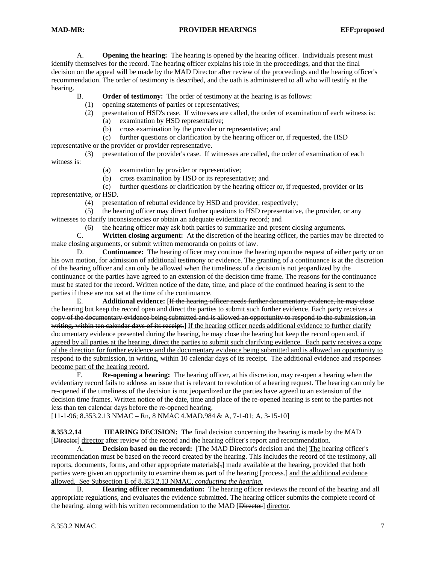A. **Opening the hearing:** The hearing is opened by the hearing officer. Individuals present must identify themselves for the record. The hearing officer explains his role in the proceedings, and that the final decision on the appeal will be made by the MAD Director after review of the proceedings and the hearing officer's recommendation. The order of testimony is described, and the oath is administered to all who will testify at the hearing.

B. **Order of testimony:** The order of testimony at the hearing is as follows:

(1) opening statements of parties or representatives;

- (2) presentation of HSD's case. If witnesses are called, the order of examination of each witness is:
	- (a) examination by HSD representative;
	- (b) cross examination by the provider or representative; and

 (c) further questions or clarification by the hearing officer or, if requested, the HSD representative or the provider or provider representative.

 (3) presentation of the provider's case. If witnesses are called, the order of examination of each witness is:

- (a) examination by provider or representative;
- (b) cross examination by HSD or its representative; and

 (c) further questions or clarification by the hearing officer or, if requested, provider or its representative, or HSD.

(4) presentation of rebuttal evidence by HSD and provider, respectively;

 (5) the hearing officer may direct further questions to HSD representative, the provider, or any witnesses to clarify inconsistencies or obtain an adequate evidentiary record; and

(6) the hearing officer may ask both parties to summarize and present closing arguments.<br>C. Written closing argument: At the discretion of the hearing officer. the narties may be

Written closing argument: At the discretion of the hearing officer, the parties may be directed to make closing arguments, or submit written memoranda on points of law.

 D. **Continuance:** The hearing officer may continue the hearing upon the request of either party or on his own motion, for admission of additional testimony or evidence. The granting of a continuance is at the discretion of the hearing officer and can only be allowed when the timeliness of a decision is not jeopardized by the continuance or the parties have agreed to an extension of the decision time frame. The reasons for the continuance must be stated for the record. Written notice of the date, time, and place of the continued hearing is sent to the parties if these are not set at the time of the continuance.

 E. **Additional evidence:** [If the hearing officer needs further documentary evidence, he may close the hearing but keep the record open and direct the parties to submit such further evidence. Each party receives a copy of the documentary evidence being submitted and is allowed an opportunity to respond to the submission, in writing, within ten calendar days of its receipt.] If the hearing officer needs additional evidence to further clarify documentary evidence presented during the hearing, he may close the hearing but keep the record open and, if agreed by all parties at the hearing, direct the parties to submit such clarifying evidence. Each party receives a copy of the direction for further evidence and the documentary evidence being submitted and is allowed an opportunity to respond to the submission, in writing, within 10 calendar days of its receipt. The additional evidence and responses become part of the hearing record.

 F. **Re-opening a hearing:** The hearing officer, at his discretion, may re-open a hearing when the evidentiary record fails to address an issue that is relevant to resolution of a hearing request. The hearing can only be re-opened if the timeliness of the decision is not jeopardized or the parties have agreed to an extension of the decision time frames. Written notice of the date, time and place of the re-opened hearing is sent to the parties not less than ten calendar days before the re-opened hearing.

[11-1-96; 8.353.2.13 NMAC – Rn, 8 NMAC 4.MAD.984 & A, 7-1-01; A, 3-15-10]

**8.353.2.14 HEARING DECISION:** The final decision concerning the hearing is made by the MAD [Director] director after review of the record and the hearing officer's report and recommendation.

 A. **Decision based on the record:** [The MAD Director's decision and the] The hearing officer's recommendation must be based on the record created by the hearing. This includes the record of the testimony, all reports, documents, forms, and other appropriate materials[,] made available at the hearing, provided that both parties were given an opportunity to examine them as part of the hearing [process.] and the additional evidence allowed. See Subsection E of 8.353.2.13 NMAC, *conducting the hearing*.

 B. **Hearing officer recommendation:** The hearing officer reviews the record of the hearing and all appropriate regulations, and evaluates the evidence submitted. The hearing officer submits the complete record of the hearing, along with his written recommendation to the MAD [Director] director.